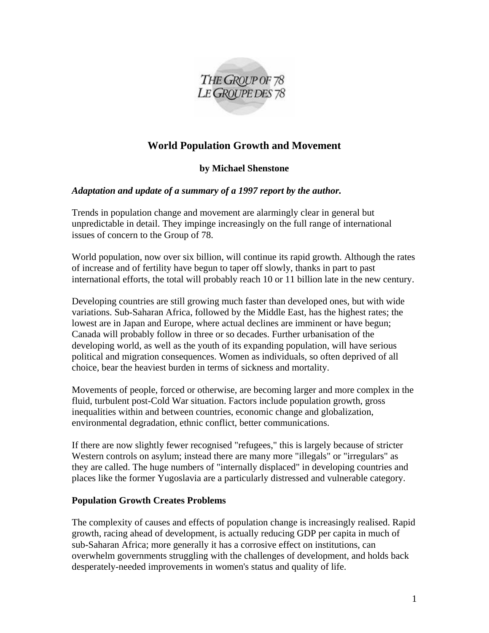

# **World Population Growth and Movement**

## **by Michael Shenstone**

#### *Adaptation and update of a summary of a 1997 report by the author.*

Trends in population change and movement are alarmingly clear in general but unpredictable in detail. They impinge increasingly on the full range of international issues of concern to the Group of 78.

World population, now over six billion, will continue its rapid growth. Although the rates of increase and of fertility have begun to taper off slowly, thanks in part to past international efforts, the total will probably reach 10 or 11 billion late in the new century.

Developing countries are still growing much faster than developed ones, but with wide variations. Sub-Saharan Africa, followed by the Middle East, has the highest rates; the lowest are in Japan and Europe, where actual declines are imminent or have begun; Canada will probably follow in three or so decades. Further urbanisation of the developing world, as well as the youth of its expanding population, will have serious political and migration consequences. Women as individuals, so often deprived of all choice, bear the heaviest burden in terms of sickness and mortality.

Movements of people, forced or otherwise, are becoming larger and more complex in the fluid, turbulent post-Cold War situation. Factors include population growth, gross inequalities within and between countries, economic change and globalization, environmental degradation, ethnic conflict, better communications.

If there are now slightly fewer recognised "refugees," this is largely because of stricter Western controls on asylum; instead there are many more "illegals" or "irregulars" as they are called. The huge numbers of "internally displaced" in developing countries and places like the former Yugoslavia are a particularly distressed and vulnerable category.

#### **Population Growth Creates Problems**

The complexity of causes and effects of population change is increasingly realised. Rapid growth, racing ahead of development, is actually reducing GDP per capita in much of sub-Saharan Africa; more generally it has a corrosive effect on institutions, can overwhelm governments struggling with the challenges of development, and holds back desperately-needed improvements in women's status and quality of life.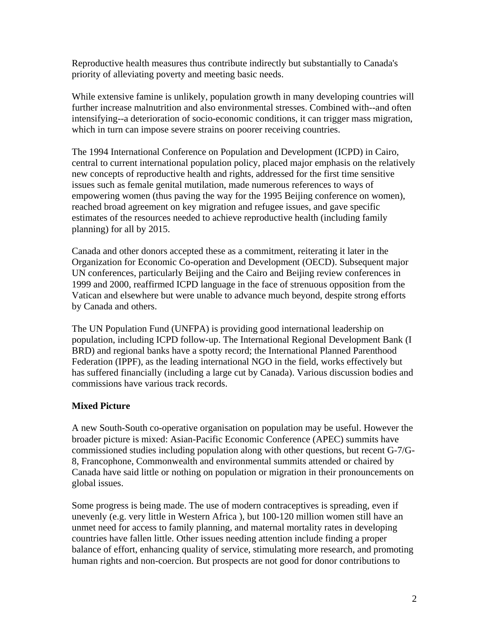Reproductive health measures thus contribute indirectly but substantially to Canada's priority of alleviating poverty and meeting basic needs.

While extensive famine is unlikely, population growth in many developing countries will further increase malnutrition and also environmental stresses. Combined with--and often intensifying--a deterioration of socio-economic conditions, it can trigger mass migration, which in turn can impose severe strains on poorer receiving countries.

The 1994 International Conference on Population and Development (ICPD) in Cairo, central to current international population policy, placed major emphasis on the relatively new concepts of reproductive health and rights, addressed for the first time sensitive issues such as female genital mutilation, made numerous references to ways of empowering women (thus paving the way for the 1995 Beijing conference on women), reached broad agreement on key migration and refugee issues, and gave specific estimates of the resources needed to achieve reproductive health (including family planning) for all by 2015.

Canada and other donors accepted these as a commitment, reiterating it later in the Organization for Economic Co-operation and Development (OECD). Subsequent major UN conferences, particularly Beijing and the Cairo and Beijing review conferences in 1999 and 2000, reaffirmed ICPD language in the face of strenuous opposition from the Vatican and elsewhere but were unable to advance much beyond, despite strong efforts by Canada and others.

The UN Population Fund (UNFPA) is providing good international leadership on population, including ICPD follow-up. The International Regional Development Bank (I BRD) and regional banks have a spotty record; the International Planned Parenthood Federation (IPPF), as the leading international NGO in the field, works effectively but has suffered financially (including a large cut by Canada). Various discussion bodies and commissions have various track records.

## **Mixed Picture**

A new South-South co-operative organisation on population may be useful. However the broader picture is mixed: Asian-Pacific Economic Conference (APEC) summits have commissioned studies including population along with other questions, but recent G-7/G-8, Francophone, Commonwealth and environmental summits attended or chaired by Canada have said little or nothing on population or migration in their pronouncements on global issues.

Some progress is being made. The use of modern contraceptives is spreading, even if unevenly (e.g. very little in Western Africa ), but 100-120 million women still have an unmet need for access to family planning, and maternal mortality rates in developing countries have fallen little. Other issues needing attention include finding a proper balance of effort, enhancing quality of service, stimulating more research, and promoting human rights and non-coercion. But prospects are not good for donor contributions to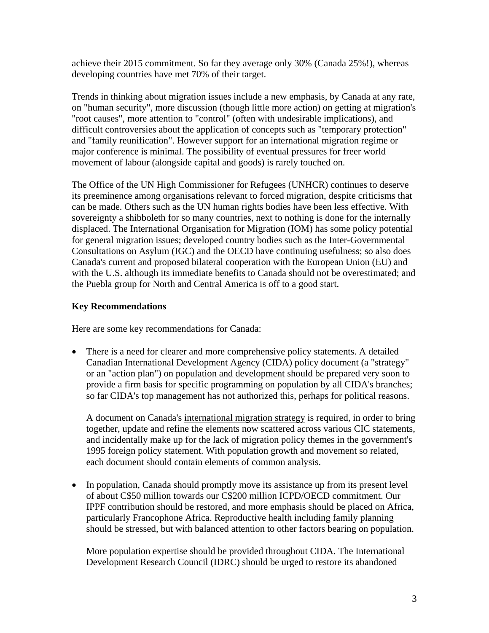achieve their 2015 commitment. So far they average only 30% (Canada 25%!), whereas developing countries have met 70% of their target.

Trends in thinking about migration issues include a new emphasis, by Canada at any rate, on "human security", more discussion (though little more action) on getting at migration's "root causes", more attention to "control" (often with undesirable implications), and difficult controversies about the application of concepts such as "temporary protection" and "family reunification". However support for an international migration regime or major conference is minimal. The possibility of eventual pressures for freer world movement of labour (alongside capital and goods) is rarely touched on.

The Office of the UN High Commissioner for Refugees (UNHCR) continues to deserve its preeminence among organisations relevant to forced migration, despite criticisms that can be made. Others such as the UN human rights bodies have been less effective. With sovereignty a shibboleth for so many countries, next to nothing is done for the internally displaced. The International Organisation for Migration (IOM) has some policy potential for general migration issues; developed country bodies such as the Inter-Governmental Consultations on Asylum (IGC) and the OECD have continuing usefulness; so also does Canada's current and proposed bilateral cooperation with the European Union (EU) and with the U.S. although its immediate benefits to Canada should not be overestimated; and the Puebla group for North and Central America is off to a good start.

## **Key Recommendations**

Here are some key recommendations for Canada:

• There is a need for clearer and more comprehensive policy statements. A detailed Canadian International Development Agency (CIDA) policy document (a "strategy" or an "action plan") on population and development should be prepared very soon to provide a firm basis for specific programming on population by all CIDA's branches; so far CIDA's top management has not authorized this, perhaps for political reasons.

A document on Canada's international migration strategy is required, in order to bring together, update and refine the elements now scattered across various CIC statements, and incidentally make up for the lack of migration policy themes in the government's 1995 foreign policy statement. With population growth and movement so related, each document should contain elements of common analysis.

• In population, Canada should promptly move its assistance up from its present level of about C\$50 million towards our C\$200 million ICPD/OECD commitment. Our IPPF contribution should be restored, and more emphasis should be placed on Africa, particularly Francophone Africa. Reproductive health including family planning should be stressed, but with balanced attention to other factors bearing on population.

More population expertise should be provided throughout CIDA. The International Development Research Council (IDRC) should be urged to restore its abandoned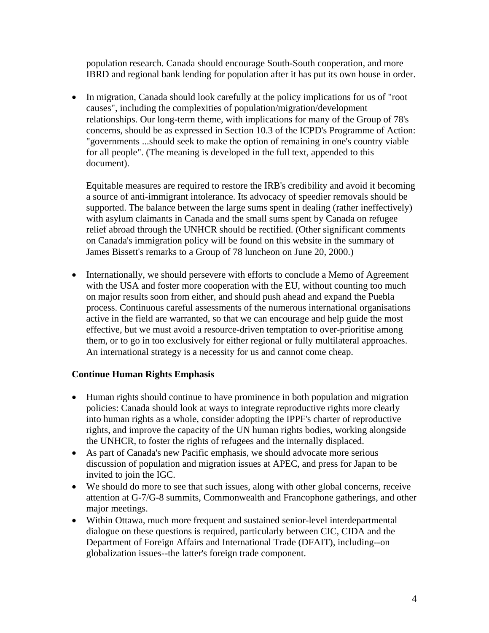population research. Canada should encourage South-South cooperation, and more IBRD and regional bank lending for population after it has put its own house in order.

• In migration, Canada should look carefully at the policy implications for us of "root" causes", including the complexities of population/migration/development relationships. Our long-term theme, with implications for many of the Group of 78's concerns, should be as expressed in Section 10.3 of the ICPD's Programme of Action: "governments ...should seek to make the option of remaining in one's country viable for all people". (The meaning is developed in the full text, appended to this document).

Equitable measures are required to restore the IRB's credibility and avoid it becoming a source of anti-immigrant intolerance. Its advocacy of speedier removals should be supported. The balance between the large sums spent in dealing (rather ineffectively) with asylum claimants in Canada and the small sums spent by Canada on refugee relief abroad through the UNHCR should be rectified. (Other significant comments on Canada's immigration policy will be found on this website in the summary of James Bissett's remarks to a Group of 78 luncheon on June 20, 2000.)

• Internationally, we should persevere with efforts to conclude a Memo of Agreement with the USA and foster more cooperation with the EU, without counting too much on major results soon from either, and should push ahead and expand the Puebla process. Continuous careful assessments of the numerous international organisations active in the field are warranted, so that we can encourage and help guide the most effective, but we must avoid a resource-driven temptation to over-prioritise among them, or to go in too exclusively for either regional or fully multilateral approaches. An international strategy is a necessity for us and cannot come cheap.

## **Continue Human Rights Emphasis**

- Human rights should continue to have prominence in both population and migration policies: Canada should look at ways to integrate reproductive rights more clearly into human rights as a whole, consider adopting the IPPF's charter of reproductive rights, and improve the capacity of the UN human rights bodies, working alongside the UNHCR, to foster the rights of refugees and the internally displaced.
- As part of Canada's new Pacific emphasis, we should advocate more serious discussion of population and migration issues at APEC, and press for Japan to be invited to join the IGC.
- We should do more to see that such issues, along with other global concerns, receive attention at G-7/G-8 summits, Commonwealth and Francophone gatherings, and other major meetings.
- Within Ottawa, much more frequent and sustained senior-level interdepartmental dialogue on these questions is required, particularly between CIC, CIDA and the Department of Foreign Affairs and International Trade (DFAIT), including--on globalization issues--the latter's foreign trade component.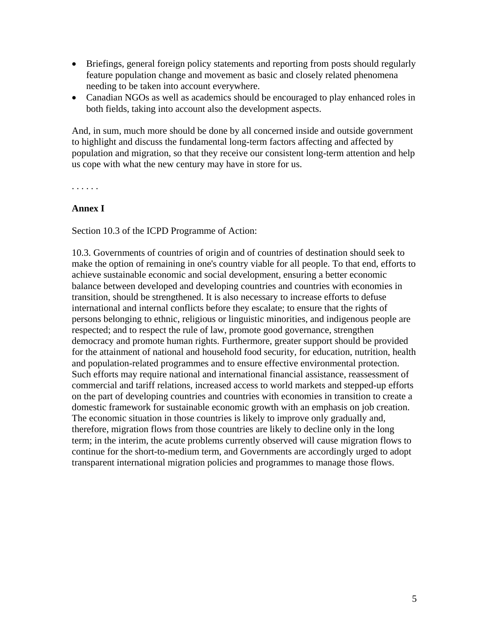- Briefings, general foreign policy statements and reporting from posts should regularly feature population change and movement as basic and closely related phenomena needing to be taken into account everywhere.
- Canadian NGOs as well as academics should be encouraged to play enhanced roles in both fields, taking into account also the development aspects.

And, in sum, much more should be done by all concerned inside and outside government to highlight and discuss the fundamental long-term factors affecting and affected by population and migration, so that they receive our consistent long-term attention and help us cope with what the new century may have in store for us.

. . . . . .

#### **Annex I**

Section 10.3 of the ICPD Programme of Action:

10.3. Governments of countries of origin and of countries of destination should seek to make the option of remaining in one's country viable for all people. To that end, efforts to achieve sustainable economic and social development, ensuring a better economic balance between developed and developing countries and countries with economies in transition, should be strengthened. It is also necessary to increase efforts to defuse international and internal conflicts before they escalate; to ensure that the rights of persons belonging to ethnic, religious or linguistic minorities, and indigenous people are respected; and to respect the rule of law, promote good governance, strengthen democracy and promote human rights. Furthermore, greater support should be provided for the attainment of national and household food security, for education, nutrition, health and population-related programmes and to ensure effective environmental protection. Such efforts may require national and international financial assistance, reassessment of commercial and tariff relations, increased access to world markets and stepped-up efforts on the part of developing countries and countries with economies in transition to create a domestic framework for sustainable economic growth with an emphasis on job creation. The economic situation in those countries is likely to improve only gradually and, therefore, migration flows from those countries are likely to decline only in the long term; in the interim, the acute problems currently observed will cause migration flows to continue for the short-to-medium term, and Governments are accordingly urged to adopt transparent international migration policies and programmes to manage those flows.